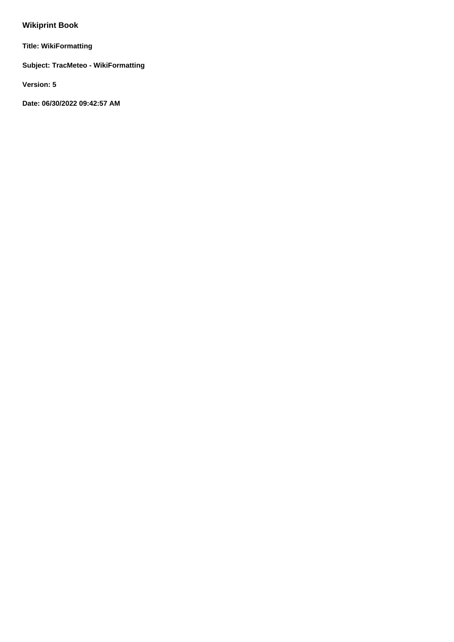# **Wikiprint Book**

**Title: WikiFormatting**

**Subject: TracMeteo - WikiFormatting**

**Version: 5**

**Date: 06/30/2022 09:42:57 AM**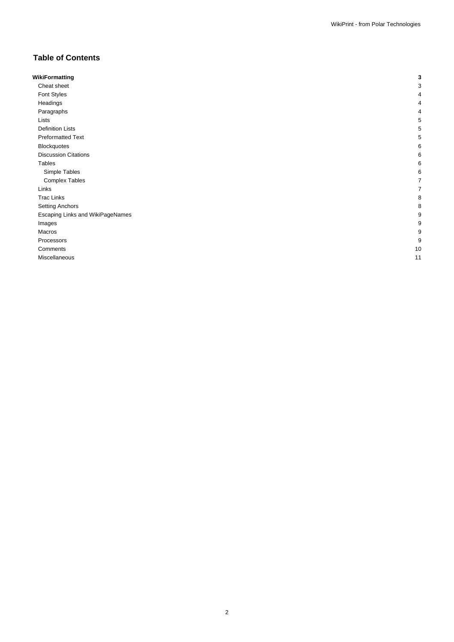# **Table of Contents**

| WikiFormatting                   |                |
|----------------------------------|----------------|
| Cheat sheet                      |                |
| Font Styles                      |                |
| Headings                         |                |
| Paragraphs                       |                |
| Lists                            |                |
| <b>Definition Lists</b>          |                |
| <b>Preformatted Text</b>         |                |
| Blockquotes                      |                |
| <b>Discussion Citations</b>      |                |
| Tables                           |                |
| Simple Tables                    |                |
| <b>Complex Tables</b>            |                |
| Links                            |                |
| <b>Trac Links</b>                |                |
| <b>Setting Anchors</b>           |                |
| Escaping Links and WikiPageNames |                |
| Images                           |                |
| Macros                           |                |
| Processors                       | ĉ              |
| Comments                         | 1 <sup>C</sup> |
| Miscellaneous                    | 11             |
|                                  |                |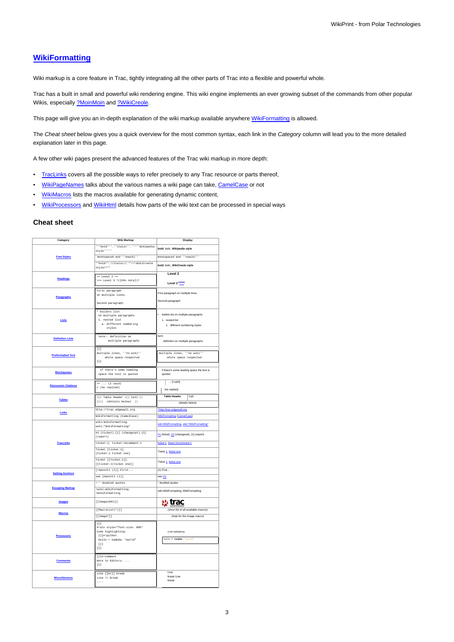# **[WikiFormatting](https://meteo.unican.es/trac/wiki/WikiFormatting)**

Wiki markup is a core feature in Trac, tightly integrating all the other parts of Trac into a flexible and powerful whole.

Trac has a built in small and powerful wiki rendering engine. This wiki engine implements an ever growing subset of the commands from other popular Wikis, especially [?MoinMoin](http://moinmo.in/) and [?WikiCreole](http://trac.edgewall.org/intertrac/WikiCreole).

This page will give you an in-depth explanation of the wiki markup available anywhere [WikiFormatting](https://meteo.unican.es/trac/wiki/WikiFormatting) is allowed.

The Cheat sheet below gives you a quick overview for the most common syntax, each link in the Category column will lead you to the more detailed explanation later in this page.

A few other wiki pages present the advanced features of the Trac wiki markup in more depth:

- [TracLinks](https://meteo.unican.es/trac/wiki/TracLinks) covers all the possible ways to refer precisely to any Trac resource or parts thereof,
- [WikiPageNames](https://meteo.unican.es/trac/wiki/WikiPageNames) talks about the various names a wiki page can take, [CamelCase](https://meteo.unican.es/trac/wiki/CamelCase) or not
- [WikiMacros](https://meteo.unican.es/trac/wiki/WikiMacros) lists the macros available for generating dynamic content,
- [WikiProcessors](https://meteo.unican.es/trac/wiki/WikiProcessors) and [WikiHtml](https://meteo.unican.es/trac/wiki/WikiHtml) details how parts of the wiki text can be processed in special ways

### **Cheat sheet**

| Category                                                   | Wiki Markup                                                                    | Display                                    |  |
|------------------------------------------------------------|--------------------------------------------------------------------------------|--------------------------------------------|--|
|                                                            | ""bold"", "italic", """Wikipedia<br>style *****                                | bold, italic, Wikipedia style              |  |
| <b>Font Styles</b>                                         | 'monospaced and ''nowiki'''                                                    | monospaced and ''nowiki''                  |  |
|                                                            | **bold**,//italic//,**//!WikiCreole<br>$style$ //**                            | bold, italic, WikiCreole style             |  |
|                                                            | $==$ Level 2 ==                                                                | Level 2                                    |  |
| <b>Headings</b>                                            | === Level 3 ^([#hn note])^                                                     | Level 3 (note)                             |  |
|                                                            | First paragraph                                                                | First paragraph on multiple lines.         |  |
| <b>Paragraphs</b>                                          | on multiple lines.                                                             |                                            |  |
|                                                            | Second paragraph.                                                              | Second paragraph.                          |  |
|                                                            | * bullets list<br>on multiple paragraphs                                       | · bullets list on multiple paragraphs      |  |
| Lists                                                      | 1. nested list                                                                 | 1. nested list                             |  |
|                                                            | a. different numbering                                                         | 1. different numbering styles              |  |
|                                                            | styles                                                                         |                                            |  |
| <b>Definition Lists</b>                                    | term:: definition on                                                           | term                                       |  |
|                                                            | multiple paragraphs                                                            | definition on multiple paragraphs          |  |
|                                                            | ${11}$<br>multiple lines, "'no wiki"'                                          | multiple lines, "no wiki"                  |  |
| <b>Preformatted Text</b>                                   | white space respected                                                          | white space respected                      |  |
|                                                            | ${1}$ } }                                                                      |                                            |  |
|                                                            | if there's some leading                                                        | if there's some leading space the text is  |  |
| <b>Blockquotes</b>                                         | space the text is quoted                                                       | quoted                                     |  |
| <b>Discussion Citations</b>                                | $\rightarrow \ldots$ (I said)                                                  | $\ldots$ (I said)                          |  |
|                                                            | > (he replied)                                                                 | (he replied)                               |  |
| <b>Tables</b>                                              | $ \;  = \texttt{Table} \texttt{Header} \; =  \;  \;\; \texttt{Cell} \;\;  \; $ | Cell<br><b>Table Header</b>                |  |
|                                                            | (details below)                                                                | (details below)                            |  |
|                                                            | http://trac.edgewall.org                                                       | ?http://trac.edgewall.org                  |  |
| Links                                                      | WikiFormatting (CamelCase)                                                     | <b>WikiFormatting (CamelCase)</b>          |  |
|                                                            | wiki:WikiFormatting,<br>wiki: "WikiFormatting"                                 | wiki:WikiFormatting, wiki:"WikiFormatting" |  |
|                                                            | #1 (ticket), [1] (changeset), {1}<br>(report)                                  | #1 (ticket), [1] (changeset), {1} (report) |  |
| <b>TracLinks</b>                                           | ticket:1, ticket:1#comment:1                                                   | ticket:1, ticket:1#comment:1               |  |
|                                                            | Ticket [ticket:1],                                                             | Ticket 1, ticket one                       |  |
|                                                            | [ticket:1 ticket one]                                                          |                                            |  |
|                                                            | Ticket [[ticket:1]],<br>[[ticket:1 ticket one]]                                | Ticket 1, ticket one                       |  |
| <b>Setting Anchors</b>                                     | $[=\nparallel \text{point1 (1)} \text{ First}$                                 | $(1)$ First                                |  |
|                                                            | see [#pointl (1)]                                                              | see (1)                                    |  |
|                                                            | !" doubled quotes                                                              | " doubled guotes                           |  |
| <b>Escaping Markup</b>                                     | !wiki:WikiFormatting,<br>!WikiFormatting                                       | wiki:WikiFormatting, WikiFormatting        |  |
| <b>Images</b>                                              | $[$ [Image( $link$ )]]                                                         | <b>w</b> trac                              |  |
|                                                            | [[MacroList(*)]]                                                               | (short list of all available macros)       |  |
| <b>Macros</b>                                              | [ [Image?]]                                                                    | (help for the Image macro)                 |  |
|                                                            | ${11}$                                                                         |                                            |  |
|                                                            | #!div style="font-size: 80%"<br>Code highlighting:                             | Code highlighting:                         |  |
| <b>Processors</b>                                          | {{{#!python                                                                    |                                            |  |
| hello = lambda: 'world'<br>$\verb hello = lambda: "world"$ |                                                                                |                                            |  |
|                                                            | ${}^{11}$<br>$\}$ } }                                                          |                                            |  |
|                                                            | {{{#!comment                                                                   |                                            |  |
| <b>Comments</b>                                            | Note to Editors:                                                               |                                            |  |
|                                                            | 333                                                                            |                                            |  |
|                                                            | Line [[br]] break                                                              | Line                                       |  |
| <b>Miscellaneous</b>                                       | Line \\ break                                                                  | break Line<br>break                        |  |
|                                                            |                                                                                |                                            |  |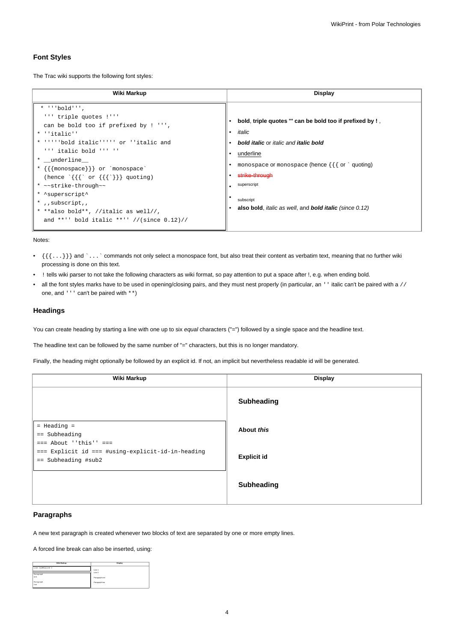### **Font Styles**

The Trac wiki supports the following font styles:

| Wiki Markup                                                                                                                                                                                                                                                                                                                                                                                                                                                     | Display                                                                                                                                                                                                                                                                                                                               |  |
|-----------------------------------------------------------------------------------------------------------------------------------------------------------------------------------------------------------------------------------------------------------------------------------------------------------------------------------------------------------------------------------------------------------------------------------------------------------------|---------------------------------------------------------------------------------------------------------------------------------------------------------------------------------------------------------------------------------------------------------------------------------------------------------------------------------------|--|
| $*$ $\cdot \cdot$ bold'''.<br>''' triple quotes !'''<br>can be bold too if prefixed by ! ''',<br>* ''italic''<br>* ''''bold italic''''' or ''italic and<br>$'$ ''' italic bold ''' ''<br>* _underline__<br>* {{{monospace}}} or `monospace`<br>(hence $\{\{\}^{\circ}$ or $\{\{\}^{\circ}\}\}\$ quoting)<br>* ~~strike-through~~<br>* ^superscript^<br>*,, subscript,,<br>* **also bold**, //italic as well//,<br>and **'' bold italic **'' //(since $0.12$ )// | bold, triple quotes "' can be bold too if prefixed by !,<br>italic<br><b>bold italic</b> or <i>italic</i> and <i>italic</i> bold<br>underline<br>monospace or monospace (hence $\{\{\}$ or $\degree$ quoting)<br>strike-through<br>superscript<br>subscript<br>also bold, <i>italic as well</i> , and <b>bold italic</b> (since 0.12) |  |

Notes:

- $\{\{\ldots\}\}\$  and `... ` commands not only select a monospace font, but also treat their content as verbatim text, meaning that no further wiki processing is done on this text.
- ! tells wiki parser to not take the following characters as wiki format, so pay attention to put a space after !, e.g. when ending bold.
- all the font styles marks have to be used in opening/closing pairs, and they must nest properly (in particular, an '' italic can't be paired with a // one, and ''' can't be paired with \*\*)

### **Headings**

You can create heading by starting a line with one up to six equal characters ("=") followed by a single space and the headline text.

The headline text can be followed by the same number of "=" characters, but this is no longer mandatory.

Finally, the heading might optionally be followed by an explicit id. If not, an implicit but nevertheless readable id will be generated.

| Wiki Markup                                                                | <b>Display</b>     |  |
|----------------------------------------------------------------------------|--------------------|--|
|                                                                            | <b>Subheading</b>  |  |
| $=$ Heading $=$<br>$==$ Subheading<br>$==$ About ''this'' $==$             | About this         |  |
| === Explicit id === #using-explicit-id-in-heading<br>$==$ Subheading #sub2 | <b>Explicit id</b> |  |
|                                                                            | <b>Subheading</b>  |  |

### **Paragraphs**

A new text paragraph is created whenever two blocks of text are separated by one or more empty lines.

A forced line break can also be inserted, using:

| Wiki Markup        | Display       |  |
|--------------------|---------------|--|
| Line 1[[BR] Line 2 | Line 1        |  |
| Paragraph          | Line 2        |  |
| ope                | Paragraph one |  |
| Paragraph          | Paragraph two |  |
| two                |               |  |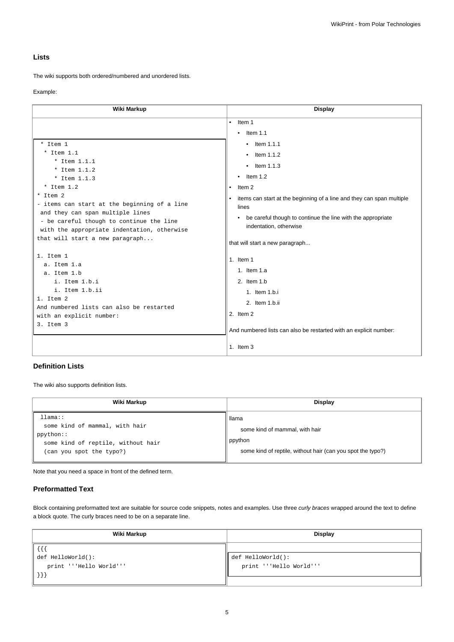# **Lists**

The wiki supports both ordered/numbered and unordered lists.

#### Example:

| Wiki Markup                                                                                                                                                                                    | <b>Display</b>                                                                                                                                                                                                                                |
|------------------------------------------------------------------------------------------------------------------------------------------------------------------------------------------------|-----------------------------------------------------------------------------------------------------------------------------------------------------------------------------------------------------------------------------------------------|
| * Item 1<br>$*$ Item 1.1<br>* Item $1.1.1$<br>* Item $1.1.2$<br>* Item $1.1.3$<br>$*$ Item 1.2<br>* Item 2<br>- items can start at the beginning of a line<br>and they can span multiple lines | Item 1<br>$\bullet$<br>Item $1.1$<br>$\bullet$<br>$\bullet$ Item 1.1.1<br>$\bullet$ Item 1.1.2<br>$\bullet$ Item 1.1.3<br>Item $1.2$<br>$\bullet$<br>Item 2<br>items can start at the beginning of a line and they can span multiple<br>lines |
| - be careful though to continue the line<br>with the appropriate indentation, otherwise<br>that will start a new paragraph                                                                     | be careful though to continue the line with the appropriate<br>$\bullet$<br>indentation, otherwise<br>that will start a new paragraph                                                                                                         |
| 1. Item 1<br>a. Item 1.a<br>a. Item 1.b<br>i. Item 1.b.i<br>i. Item 1.b.ii<br>1. Item 2<br>And numbered lists can also be restarted<br>with an explicit number:<br>3. Item 3                   | 1. Item $1$<br>1. Item 1.a<br>2. Item 1.b<br>1. Item 1.b.i<br>2. Item 1.b.ii<br>2. Item 2<br>And numbered lists can also be restarted with an explicit number:                                                                                |
|                                                                                                                                                                                                | 1. Item $3$                                                                                                                                                                                                                                   |

## **Definition Lists**

The wiki also supports definition lists.

| Wiki Markup                                                                                                              | <b>Display</b>                                                                                                    |
|--------------------------------------------------------------------------------------------------------------------------|-------------------------------------------------------------------------------------------------------------------|
| llmma::<br>some kind of mammal, with hair<br>ppython::<br>some kind of reptile, without hair<br>(can you spot the typo?) | llama<br>some kind of mammal, with hair<br>ppython<br>some kind of reptile, without hair (can you spot the typo?) |

Note that you need a space in front of the defined term.

## **Preformatted Text**

Block containing preformatted text are suitable for source code snippets, notes and examples. Use three curly braces wrapped around the text to define a block quote. The curly braces need to be on a separate line.

| <b>Display</b><br>Wiki Markup |                         |
|-------------------------------|-------------------------|
|                               |                         |
| def HelloWorld():             | def HelloWorld():       |
| print '''Hello World'''       | print '''Hello World''' |
| $\vert\vert\ \rangle\}$ )     |                         |
|                               |                         |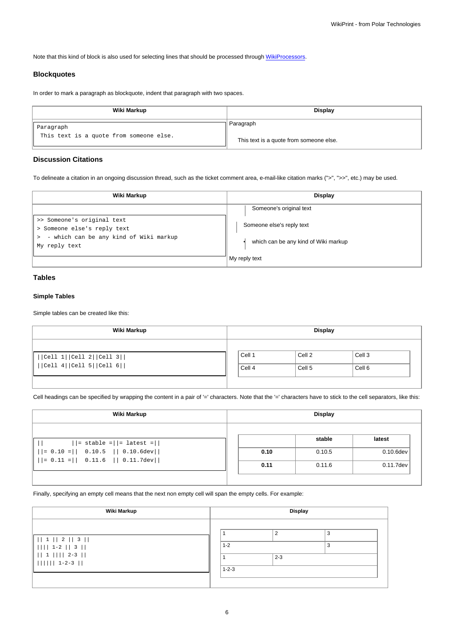Note that this kind of block is also used for selecting lines that should be processed through [WikiProcessors](https://meteo.unican.es/trac/wiki/WikiProcessors).

### **Blockquotes**

In order to mark a paragraph as blockquote, indent that paragraph with two spaces.

| Wiki Markup                                          | <b>Display</b>                          |
|------------------------------------------------------|-----------------------------------------|
| Paragraph<br>This text is a quote from someone else. | Paragraph                               |
|                                                      | This text is a quote from someone else. |

### **Discussion Citations**

To delineate a citation in an ongoing discussion thread, such as the ticket comment area, e-mail-like citation marks (">", ">>", etc.) may be used.

| Wiki Markup                                                                                         | Display                                               |  |
|-----------------------------------------------------------------------------------------------------|-------------------------------------------------------|--|
|                                                                                                     | Someone's original text                               |  |
| >> Someone's original text<br>> Someone else's reply text<br>- which can be any kind of Wiki markup | Someone else's reply text                             |  |
| My reply text                                                                                       | which can be any kind of Wiki markup<br>My reply text |  |

# **Tables**

# **Simple Tables**

Simple tables can be created like this:

| Wiki Markup                                           | <b>Display</b>   |                             |                             |  |
|-------------------------------------------------------|------------------|-----------------------------|-----------------------------|--|
| Cell 1  Cell 2  Cell 3  <br>   Cell 4  Cell 5  Cell 6 | Cell 1<br>Cell 4 | Cell 2<br>Cell <sub>5</sub> | Cell <sub>3</sub><br>Cell 6 |  |

Cell headings can be specified by wrapping the content in a pair of '=' characters. Note that the '=' characters have to stick to the cell separators, like this:

| Wiki Markup                                     | <b>Display</b> |        |              |
|-------------------------------------------------|----------------|--------|--------------|
| $  =$ stable = $  =$ latest = $  $              |                | stable | latest       |
| $   = 0.10 =    0.10.5    0.10.6 \text{dev}  $  | 0.10           | 0.10.5 | $0.10.6$ dev |
| $    = 0.11 =    0.11.6    0.11.7 \text{dev}  $ | 0.11           | 0.11.6 | 0.11.7dev    |

Finally, specifying an empty cell means that the next non empty cell will span the empty cells. For example:

| Wiki Markup                                                                              | <b>Display</b>         |               |        |  |
|------------------------------------------------------------------------------------------|------------------------|---------------|--------|--|
| 1  1  2  3  <br>$    $ 1-2 $  $ 3 $  $<br>$   1          2-3   $<br>$         1-2-3    $ | $1 - 2$<br>$1 - 2 - 3$ | f.<br>$2 - 3$ | 3<br>3 |  |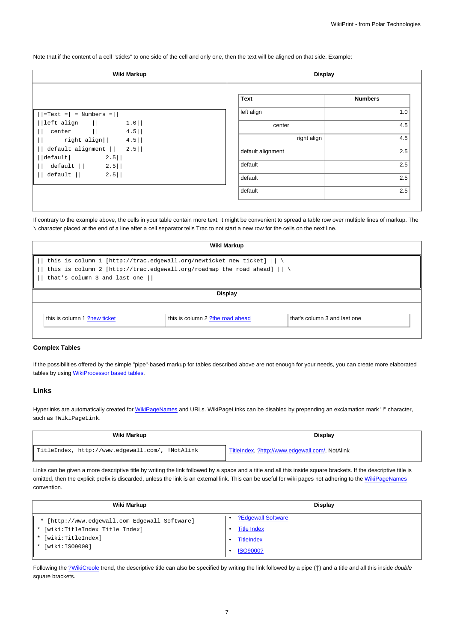Note that if the content of a cell "sticks" to one side of the cell and only one, then the text will be aligned on that side. Example:

| Wiki Markup                                                    |                   | <b>Display</b> |  |  |
|----------------------------------------------------------------|-------------------|----------------|--|--|
|                                                                | Text              | <b>Numbers</b> |  |  |
| $ \text{=Text} =   = \text{Numbers} =  $                       | left align        | 1.0            |  |  |
| $1.0$  <br>$ \text{left align}$ $  $<br>center   <br>$4.5$     | center            | 4.5            |  |  |
| right align $  $ 4.5                                           | right align       | 4.5            |  |  |
| default alignment $   2.5  $<br>$2.5$   <br>$ \text{default} $ | default alignment | 2.5            |  |  |
| default   <br>$2.5$                                            | default           | 2.5            |  |  |
| $2.5$   <br>default                                            | default           | 2.5            |  |  |
|                                                                | default           | 2.5            |  |  |

If contrary to the example above, the cells in your table contain more text, it might be convenient to spread a table row over multiple lines of markup. The \ character placed at the end of a line after a cell separator tells Trac to not start a new row for the cells on the next line.

| Wiki Markup                                                                                                                                                                                               |                                  |                              |  |
|-----------------------------------------------------------------------------------------------------------------------------------------------------------------------------------------------------------|----------------------------------|------------------------------|--|
| this is column 1 [http://trac.edgewall.org/newticket new ticket] $   \ \rangle$<br>this is column 2 [http://trac.edgewall.org/roadmap the road ahead] $   \ \rangle$<br>that's column 3 and last one $  $ |                                  |                              |  |
|                                                                                                                                                                                                           | <b>Display</b>                   |                              |  |
| this is column 1 ?new ticket                                                                                                                                                                              | this is column 2 ?the road ahead | that's column 3 and last one |  |

### **Complex Tables**

If the possibilities offered by the simple "pipe"-based markup for tables described above are not enough for your needs, you can create more elaborated tables by using [WikiProcessor based tables](https://meteo.unican.es/trac/wiki/WikiFormatting#Processors-example-tables).

#### **Links**

Hyperlinks are automatically created for [WikiPageNames](https://meteo.unican.es/trac/wiki/WikiPageNames) and URLs. WikiPageLinks can be disabled by prepending an exclamation mark "!" character, such as !WikiPageLink.

| Wiki Markup                                     | <b>Display</b>                                  |
|-------------------------------------------------|-------------------------------------------------|
| TitleIndex, http://www.edgewall.com/, !NotAlink | TitleIndex, ?http://www.edgewall.com/, NotAlink |

Links can be given a more descriptive title by writing the link followed by a space and a title and all this inside square brackets. If the descriptive title is omitted, then the explicit prefix is discarded, unless the link is an external link. This can be useful for wiki pages not adhering to the [WikiPageNames](https://meteo.unican.es/trac/wiki/WikiPageNames) convention.

| Wiki Markup                                   | <b>Display</b>     |
|-----------------------------------------------|--------------------|
| * [http://www.edgewall.com Edgewall Software] | ?Edgewall Software |
| * [wiki:TitleIndex Title Index]               | <b>Title Index</b> |
| * [wiki:TitleIndex]                           | <b>TitleIndex</b>  |
| [wiki:ISO9000]                                | <b>ISO9000?</b>    |

Following the [?WikiCreole](http://trac.edgewall.org/intertrac/WikiCreole) trend, the descriptive title can also be specified by writing the link followed by a pipe ('|') and a title and all this inside double square brackets.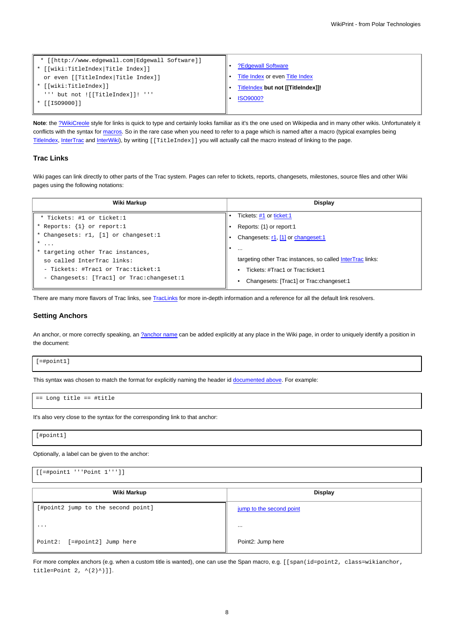| * [[http://www.edgewall.com Edgewall Software]]<br>* [[wiki:TitleIndex Title Index]]<br>or even [[TitleIndex Title Index]] | ?Edgewall Software<br>Title Index or even Title Index |
|----------------------------------------------------------------------------------------------------------------------------|-------------------------------------------------------|
| * [[wiki:TitleIndex]]                                                                                                      | TitleIndex but not [[TitleIndex]]!                    |
| ''' but not ![[TitleIndex]]! '''<br>* [[ISO9000]]                                                                          | <b>ISO9000?</b>                                       |

**Note**: the [?WikiCreole](http://trac.edgewall.org/intertrac/WikiCreole) style for links is quick to type and certainly looks familiar as it's the one used on Wikipedia and in many other wikis. Unfortunately it conflicts with the syntax for [macros.](https://meteo.unican.es/trac/wiki/WikiFormatting#Macros) So in the rare case when you need to refer to a page which is named after a macro (typical examples being [TitleIndex](https://meteo.unican.es/trac/wiki/TitleIndex), [InterTrac](https://meteo.unican.es/trac/wiki/InterTrac) and [InterWiki](https://meteo.unican.es/trac/wiki/InterWiki)), by writing [[TitleIndex]] you will actually call the macro instead of linking to the page.

### **Trac Links**

Wiki pages can link directly to other parts of the Trac system. Pages can refer to tickets, reports, changesets, milestones, source files and other Wiki pages using the following notations:

| Wiki Markup                                 | Display                                                    |  |
|---------------------------------------------|------------------------------------------------------------|--|
| * Tickets: #1 or ticket:1                   | Tickets: #1 or ticket:1                                    |  |
| * Reports: $\{1\}$ or report:1              | Reports: $\{1\}$ or report:1                               |  |
| * Changesets: r1, [1] or changeset:1        | Changesets: r1, [1] or changeset:1                         |  |
| $\ast$<br>$\cdots$                          | $\cdots$                                                   |  |
| * targeting other Trac instances,           |                                                            |  |
| so called InterTrac links:                  | targeting other Trac instances, so called InterTrac links: |  |
| - Tickets: #Tracl or Trac:ticket:1          | • Tickets: #Trac1 or Trac:ticket:1                         |  |
| - Changesets: [Tracl] or Trac: changeset: 1 | Changesets: [Trac1] or Trac: changeset: 1                  |  |

There are many more flavors of Trac links, see [TracLinks](https://meteo.unican.es/trac/wiki/TracLinks) for more in-depth information and a reference for all the default link resolvers.

#### **Setting Anchors**

An anchor, or more correctly speaking, an [?anchor name](http://www.w3.org/TR/REC-html40/struct/links.html#h-12.2.1) can be added explicitly at any place in the Wiki page, in order to uniquely identify a position in the document:

[=#point1]

This syntax was chosen to match the format for explicitly naming the header id [documented above](https://meteo.unican.es/trac/wiki/WikiFormatting#Headings). For example:

== Long title == #title

It's also very close to the syntax for the corresponding link to that anchor:

[#point1]

Optionally, a label can be given to the anchor:

[[=#point1 '''Point 1''']] **Wiki Markup Display** [#point2 jump to the second point] ... Point2: [=#point2] Jump here [jump to the second point](https://meteo.unican.es/trac/wiki/WikiFormatting#point2) ... Point2: Jump here

For more complex anchors (e.g. when a custom title is wanted), one can use the Span macro, e.g. [[span(id=point2, class=wikianchor, title=Point  $2, ^{(-(2)^{^})}]$ .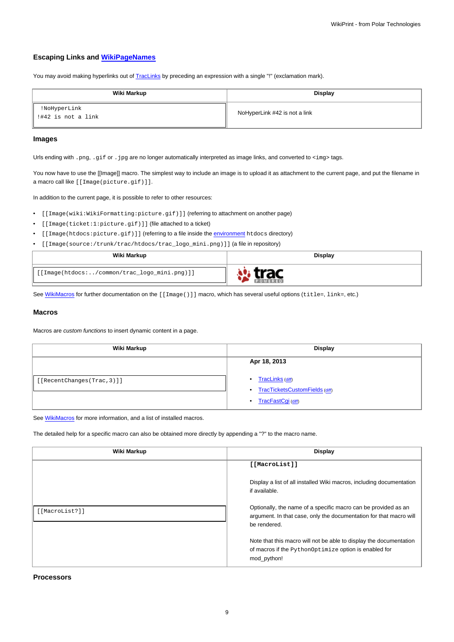### **Escaping Links and [WikiPageNames](https://meteo.unican.es/trac/wiki/WikiPageNames)**

You may avoid making hyperlinks out of [TracLinks](https://meteo.unican.es/trac/wiki/TracLinks) by preceding an expression with a single "!" (exclamation mark).

| Wiki Markup                          | Display                       |  |
|--------------------------------------|-------------------------------|--|
| !NoHyperLink<br>  !#42 is not a link | NoHyperLink #42 is not a link |  |

### **Images**

Urls ending with .png, .gif or .jpg are no longer automatically interpreted as image links, and converted to <img> tags.

You now have to use the [[Image]] macro. The simplest way to include an image is to upload it as attachment to the current page, and put the filename in a macro call like [[Image(picture.gif)]].

In addition to the current page, it is possible to refer to other resources:

- [[Image(wiki:WikiFormatting:picture.gif)]] (referring to attachment on another page)
- [[Image(ticket:1:picture.gif)]] (file attached to a ticket)
- [[Image(htdocs:picture.gif)]] (referring to a file inside the [environment](https://meteo.unican.es/trac/wiki/TracEnvironment) htdocs directory)
- [[Image(source:/trunk/trac/htdocs/trac\_logo\_mini.png)]] (a file in repository)

| Wiki Markup                                  | <b>Display</b> |
|----------------------------------------------|----------------|
| [[Image(htdocs:/common/trac_logo_mini.png)]] |                |

See [WikiMacros](https://meteo.unican.es/trac/wiki/WikiMacros) for further documentation on the [[Image()]] macro, which has several useful options (title=, link=, etc.)

### **Macros**

Macros are custom functions to insert dynamic content in a page.

| Wiki Markup                | <b>Display</b>                                                                       |  |  |
|----------------------------|--------------------------------------------------------------------------------------|--|--|
| [[RecentChanges(Trac, 3)]] | Apr 18, 2013<br>TracLinks (diff)<br>٠<br>TracTicketsCustomFields (diff)<br>$\bullet$ |  |  |
|                            | TracFastCgi (diff)<br>$\bullet$                                                      |  |  |

See [WikiMacros](https://meteo.unican.es/trac/wiki/WikiMacros) for more information, and a list of installed macros.

The detailed help for a specific macro can also be obtained more directly by appending a "?" to the macro name.

| Wiki Markup    | Display                                                                                                                                              |  |  |
|----------------|------------------------------------------------------------------------------------------------------------------------------------------------------|--|--|
|                | [[MacroList]]                                                                                                                                        |  |  |
|                | Display a list of all installed Wiki macros, including documentation<br>if available.                                                                |  |  |
| [[MacroList?]] | Optionally, the name of a specific macro can be provided as an<br>argument. In that case, only the documentation for that macro will<br>be rendered. |  |  |
|                | Note that this macro will not be able to display the documentation<br>of macros if the PythonOptimize option is enabled for<br>mod python!           |  |  |

**Processors**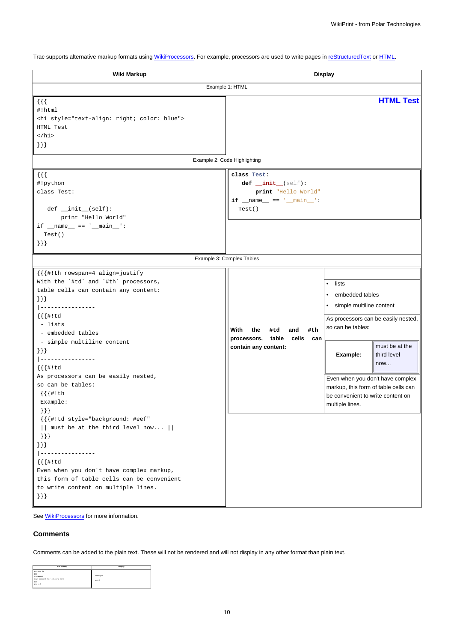Trac supports alternative markup formats using [WikiProcessors.](https://meteo.unican.es/trac/wiki/WikiProcessors) For example, processors are used to write pages in [reStructuredText](https://meteo.unican.es/trac/wiki/WikiRestructuredText) or [HTML.](https://meteo.unican.es/trac/wiki/WikiHtml)

| Wiki Markup                                                                                                                                                                                                                                                                                                                                                                  | <b>Display</b>                                                                                 |                                                                                                                                                                                                                                                 |                                      |  |
|------------------------------------------------------------------------------------------------------------------------------------------------------------------------------------------------------------------------------------------------------------------------------------------------------------------------------------------------------------------------------|------------------------------------------------------------------------------------------------|-------------------------------------------------------------------------------------------------------------------------------------------------------------------------------------------------------------------------------------------------|--------------------------------------|--|
| Example 1: HTML                                                                                                                                                                                                                                                                                                                                                              |                                                                                                |                                                                                                                                                                                                                                                 |                                      |  |
| $\{ \}$<br>#!html<br><h1 style="text-align: right; color: blue"><br/>HTML Test<br/><math>\langle</math>/h1&gt;<br/><math>\{\}</math></h1>                                                                                                                                                                                                                                    |                                                                                                |                                                                                                                                                                                                                                                 | <b>HTML Test</b>                     |  |
|                                                                                                                                                                                                                                                                                                                                                                              | Example 2: Code Highlighting                                                                   |                                                                                                                                                                                                                                                 |                                      |  |
| $\{\{\}\}\$<br>#!python<br>class Test:<br>$def __init__(self):$<br>print "Hello World"<br>$if __name__ == '__main__':$<br>Test()<br>$\{\}$                                                                                                                                                                                                                                   | class Test:<br>def _init_(self):<br>print "Hello World"<br>if $_name_ = = '_main_':$<br>Test() |                                                                                                                                                                                                                                                 |                                      |  |
|                                                                                                                                                                                                                                                                                                                                                                              | Example 3: Complex Tables                                                                      |                                                                                                                                                                                                                                                 |                                      |  |
| {{{#!th rowspan=4 align=justify<br>With the `#td` and `#th` processors,<br>table cells can contain any content:<br>$\{\}\}$<br> ----------------<br>$\{ \{ \{ \# ! \, td \} \} \}$<br>- lists<br>- embedded tables<br>- simple multiline content<br>$\{\}\}$<br>______________<br>$\{ \{ \{ \# ! \, td \} \} \}$<br>As processors can be easily nested,<br>so can be tables: | With<br>the<br>#td<br>and<br>#th<br>processors, table cells can<br>contain any content:        | lists<br>$\bullet$<br>embedded tables<br>$\bullet$<br>simple multiline content<br>$\bullet$<br>As processors can be easily nested,<br>so can be tables:<br>Example:<br>Even when you don't have complex<br>markup, this form of table cells can | must be at the<br>third level<br>now |  |
| $\{ \{ \{ \#! \text{ th}$<br>Example:<br>$\{\}$ } }<br>{{{#!td style="background: #eef"<br>$  $ must be at the third level now $  $<br>$\}$ } }<br>$\{\}$ } }<br>--------------<br>$  - -$<br>$\{ \{ \{ \# ! \, td \} \} \}$<br>Even when you don't have complex markup,<br>this form of table cells can be convenient<br>to write content on multiple lines.<br>$\{\}$      |                                                                                                | be convenient to write content on<br>multiple lines.                                                                                                                                                                                            |                                      |  |

See **WikiProcessors** for more information.

# **Comments**

Comments can be added to the plain text. These will not be rendered and will not display in any other format than plain text.

| Wiki Markup                                                                              | Display              |
|------------------------------------------------------------------------------------------|----------------------|
| Nothing to<br>(1)<br>#   comment<br>Your comment for editors here<br>(33)<br>$20011 - 1$ | Nothing to<br>300(1) |